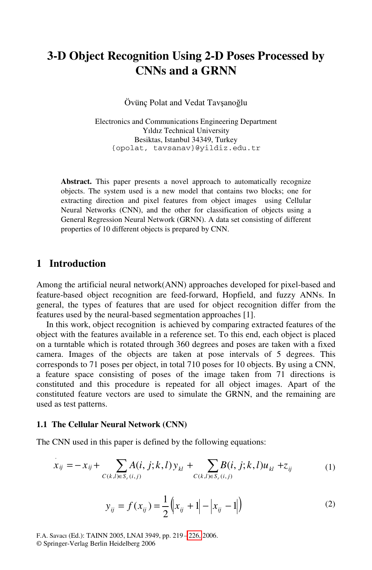# **3-D Object Recognition Using 2-D Poses Processed by CNNs and a GRNN**

Övünç Polat and Vedat Tavşanoğlu

Electronics and Communications Engineering Department Yıldız Technical University Besiktas, Istanbul 34349, Turkey {opolat, tavsanav}@yildiz.edu.tr

Abstract. This paper presents a novel approach to automatically recognize objects. The system used is a new model that contains two blocks; one for extracting direction and pixel features from object images using Cellular Neural Networks (CNN), and the other for classification of objects using a General Regression Neural Network (GRNN). A data set consisting of different properties of 10 different objects is prepared by CNN.

# **1 Introduction**

Among the artificial neural network(ANN) approaches developed for pixel-based and feature-based object recognition are feed-forward, Hopfield, and fuzzy ANNs. In general, the types of features that are used for object recognition differ from the features used by the neural-based segmentation approaches [1].

In this work, object recognition is achieved by comparing extracted features of the object with the features available in a reference set. To this end, each object is placed on a turntable which is rotated through 360 degrees and poses are taken with a fixed camera. Images of the objects are taken at pose intervals of 5 degrees. This corresponds to 71 poses per object, in total 710 poses for 10 objects. By using a CNN, a feature space consisting of poses of the image taken from 71 directions is constituted and this procedure is repeated for all object images. Apart of the constituted feature vectors are used to simulate the GRNN, and the remaining are used as test patterns.

#### **1.1 The Cellular Neural Network (CNN)**

The CNN used in this paper is defined by the following equations:

$$
\dot{x}_{ij} = -x_{ij} + \sum_{C(k,l)\in S_r(i,j)} A(i,j;k,l) y_{kl} + \sum_{C(k,l)\in S_r(i,j)} B(i,j;k,l) u_{kl} + z_{ij}
$$
(1)

$$
y_{ij} = f(x_{ij}) = \frac{1}{2} \left( |x_{ij} + 1| - |x_{ij} - 1| \right)
$$
 (2)

F.A. Savacı (Ed.): TAINN 2005, LNAI 3949, pp. 219 – [226,](#page-7-0) 2006. © Springer-Verlag Berlin Heidelberg 2006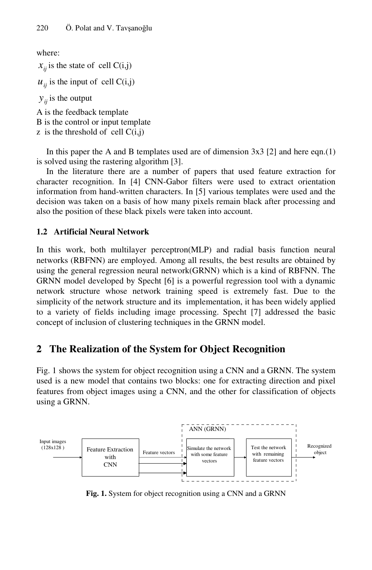where:

 $x_{ii}$  is the state of cell  $C(i,j)$ 

 $u_{ii}$  is the input of cell C(i,j)

 $y_{ii}$  is the output

A is the feedback template B is the control or input template  $\bar{z}$  is the threshold of cell  $C(i,j)$ 

In this paper the A and B templates used are of dimension  $3x3$  [2] and here eqn.(1) is solved using the rastering algorithm [3].

In the literature there are a number of papers that used feature extraction for character recognition. In [4] CNN-Gabor filters were used to extract orientation information from hand-written characters. In [5] various templates were used and the decision was taken on a basis of how many pixels remain black after processing and also the position of these black pixels were taken into account.

## **1.2 Artificial Neural Network**

In this work, both multilayer perceptron(MLP) and radial basis function neural networks (RBFNN) are employed. Among all results, the best results are obtained by using the general regression neural network(GRNN) which is a kind of RBFNN. The GRNN model developed by Specht [6] is a powerful regression tool with a dynamic network structure whose network training speed is extremely fast. Due to the simplicity of the network structure and its implementation, it has been widely applied to a variety of fields including image processing. Specht [7] addressed the basic concept of inclusion of clustering techniques in the GRNN model.

# **2 The Realization of the System for Object Recognition**

Fig. 1 shows the system for object recognition using a CNN and a GRNN. The system used is a new model that contains two blocks: one for extracting direction and pixel features from object images using a CNN, and the other for classification of objects using a GRNN.



**Fig. 1.** System for object recognition using a CNN and a GRNN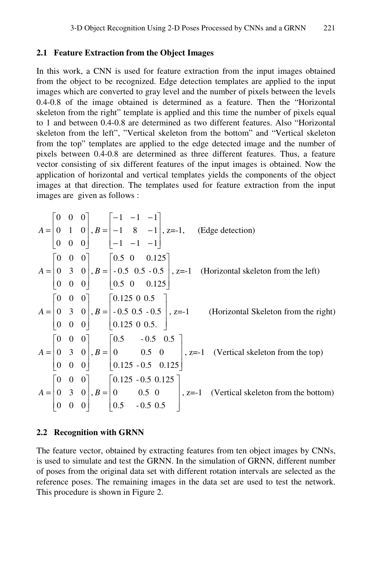#### **2.1 Feature Extraction from the Object Images**

In this work, a CNN is used for feature extraction from the input images obtained from the object to be recognized. Edge detection templates are applied to the input images which are converted to gray level and the number of pixels between the levels 0.4-0.8 of the image obtained is determined as a feature. Then the "Horizontal skeleton from the right" template is applied and this time the number of pixels equal to 1 and between 0.4-0.8 are determined as two different features. Also "Horizontal skeleton from the left", "Vertical skeleton from the bottom" and "Vertical skeleton from the top" templates are applied to the edge detected image and the number of pixels between 0.4-0.8 are determined as three different features. Thus, a feature vector consisting of six different features of the input images is obtained. Now the application of horizontal and vertical templates yields the components of the object images at that direction. The templates used for feature extraction from the input images are given as follows :

$$
A = \begin{bmatrix} 0 & 0 & 0 \\ 0 & 1 & 0 \\ 0 & 0 & 0 \end{bmatrix}, B = \begin{bmatrix} -1 & -1 & -1 \\ -1 & 8 & -1 \\ -1 & -1 & -1 \end{bmatrix}, z = -1, \text{ (Edge detection)}
$$
  
\n
$$
A = \begin{bmatrix} 0 & 0 & 0 \\ 0 & 3 & 0 \\ 0 & 0 & 0 \end{bmatrix}, B = \begin{bmatrix} 0.5 & 0 & 0.125 \\ -0.5 & 0.5 & -0.5 \\ 0.5 & 0 & 0.125 \end{bmatrix}, z = -1 \text{ (Horizontal skeleton from the left)}
$$
  
\n
$$
A = \begin{bmatrix} 0 & 0 & 0 \\ 0 & 3 & 0 \\ 0 & 0 & 0 \end{bmatrix}, B = \begin{bmatrix} 0.125 & 0 & 0.5 \\ -0.5 & 0.5 & -0.5 \\ 0.125 & 0 & 0.5 \end{bmatrix}, z = -1 \text{ (Horizontal Sketch from the right)}
$$
  
\n
$$
A = \begin{bmatrix} 0 & 0 & 0 \\ 0 & 3 & 0 \\ 0 & 0 & 0 \end{bmatrix}, B = \begin{bmatrix} 0.5 & -0.5 & 0.5 \\ 0 & 0.5 & 0 \\ 0.125 & -0.5 & 0.125 \end{bmatrix}, z = -1 \text{ (Vertical skeleton from the top)}
$$
  
\n
$$
A = \begin{bmatrix} 0 & 0 & 0 \\ 0 & 3 & 0 \\ 0 & 0 & 0 \end{bmatrix}, B = \begin{bmatrix} 0.125 & -0.5 & 0.125 \\ 0 & 0.5 & 0 \\ 0.5 & -0.5 & 0.5 \end{bmatrix}, z = -1 \text{ (Vertical skeleton from the bottom)}
$$

#### **2.2 Recognition with GRNN**

The feature vector, obtained by extracting features from ten object images by CNNs, is used to simulate and test the GRNN. In the simulation of GRNN, different number of poses from the original data set with different rotation intervals are selected as the reference poses. The remaining images in the data set are used to test the network. This procedure is shown in Figure 2.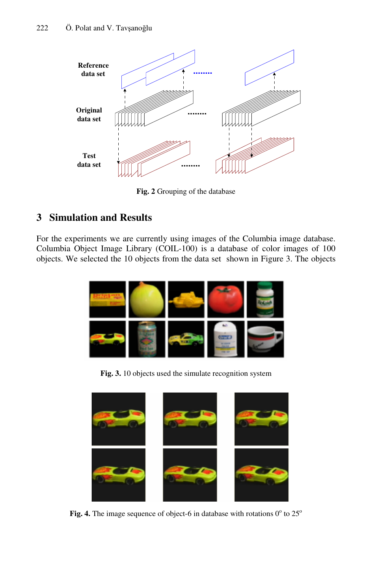

**Fig. 2** Grouping of the database

# **3 Simulation and Results**

For the experiments we are currently using images of the Columbia image database. Columbia Object Image Library (COIL-100) is a database of color images of 100 objects. We selected the 10 objects from the data set shown in Figure 3. The objects



**Fig. 3.** 10 objects used the simulate recognition system



**Fig. 4.** The image sequence of object-6 in database with rotations  $0^{\circ}$  to  $25^{\circ}$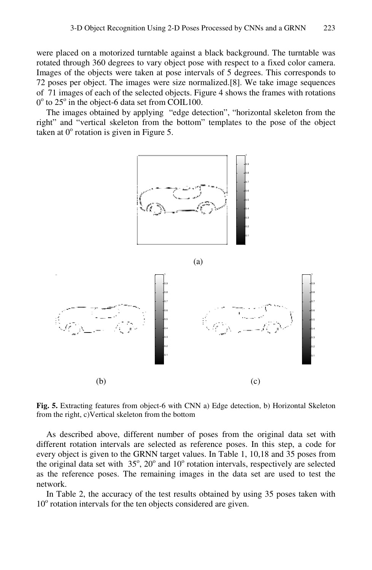were placed on a motorized turntable against a black background. The turntable was rotated through 360 degrees to vary object pose with respect to a fixed color camera. Images of the objects were taken at pose intervals of 5 degrees. This corresponds to 72 poses per object. The images were size normalized.[8]. We take image sequences of 71 images of each of the selected objects. Figure 4 shows the frames with rotations  $0^{\circ}$  to 25 $^{\circ}$  in the object-6 data set from COIL100.

The images obtained by applying "edge detection", "horizontal skeleton from the right" and "vertical skeleton from the bottom" templates to the pose of the object taken at  $0^{\circ}$  rotation is given in Figure 5.



**Fig. 5.** Extracting features from object-6 with CNN a) Edge detection, b) Horizontal Skeleton from the right, c)Vertical skeleton from the bottom

As described above, different number of poses from the original data set with different rotation intervals are selected as reference poses. In this step, a code for every object is given to the GRNN target values. In Table 1, 10,18 and 35 poses from the original data set with  $35^\circ$ ,  $20^\circ$  and  $10^\circ$  rotation intervals, respectively are selected as the reference poses. The remaining images in the data set are used to test the network.

In Table 2, the accuracy of the test results obtained by using 35 poses taken with 10<sup>°</sup> rotation intervals for the ten objects considered are given.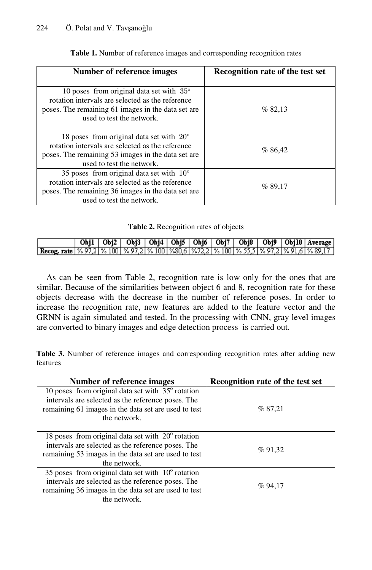| Number of reference images                                                                                                                                                               | Recognition rate of the test set |  |  |  |
|------------------------------------------------------------------------------------------------------------------------------------------------------------------------------------------|----------------------------------|--|--|--|
| 10 poses from original data set with $35^{\circ}$<br>rotation intervals are selected as the reference<br>poses. The remaining 61 images in the data set are<br>used to test the network. | % 82,13                          |  |  |  |
| 18 poses from original data set with $20^{\circ}$<br>rotation intervals are selected as the reference<br>poses. The remaining 53 images in the data set are<br>used to test the network. | %86,42                           |  |  |  |
| 35 poses from original data set with $10^{\circ}$<br>rotation intervals are selected as the reference<br>poses. The remaining 36 images in the data set are<br>used to test the network. | %89,17                           |  |  |  |

**Table 1.** Number of reference images and corresponding recognition rates

|  |  | Table 2. Recognition rates of objects |
|--|--|---------------------------------------|
|--|--|---------------------------------------|

|                                                                                                            |  |  |  |  |  | Obj1   Obj2   Obj3   Obj4   Obj5   Obj6   Obj7   Obj8   Obj9   Obj10   Average |
|------------------------------------------------------------------------------------------------------------|--|--|--|--|--|--------------------------------------------------------------------------------|
| Recog. rate   % 97,2   % 100   % 97,2   % 100   %80,6   %72,2   % 100   % 55,5   % 97,2   % 91,6   % 89,17 |  |  |  |  |  |                                                                                |

As can be seen from Table 2, recognition rate is low only for the ones that are similar. Because of the similarities between object 6 and 8, recognition rate for these objects decrease with the decrease in the number of reference poses. In order to increase the recognition rate, new features are added to the feature vector and the GRNN is again simulated and tested. In the processing with CNN, gray level images are converted to binary images and edge detection process is carried out.

**Table 3.** Number of reference images and corresponding recognition rates after adding new features

| Number of reference images                                                                                                                                                               | Recognition rate of the test set |
|------------------------------------------------------------------------------------------------------------------------------------------------------------------------------------------|----------------------------------|
| 10 poses from original data set with $35^{\circ}$ rotation<br>intervals are selected as the reference poses. The<br>remaining 61 images in the data set are used to test<br>the network. | % 87.21                          |
| 18 poses from original data set with $20^{\circ}$ rotation<br>intervals are selected as the reference poses. The<br>remaining 53 images in the data set are used to test<br>the network. | %91.32                           |
| 35 poses from original data set with $10^{\circ}$ rotation<br>intervals are selected as the reference poses. The<br>remaining 36 images in the data set are used to test<br>the network. | %94,17                           |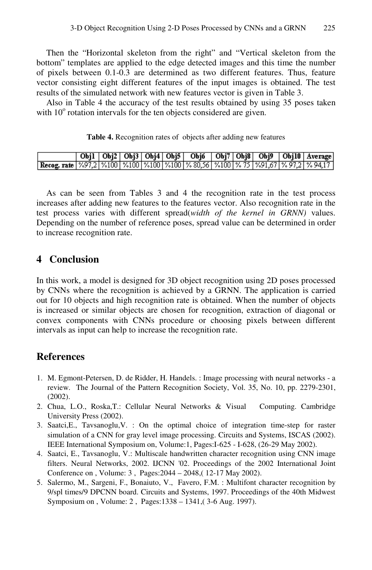Then the "Horizontal skeleton from the right" and "Vertical skeleton from the bottom" templates are applied to the edge detected images and this time the number of pixels between 0.1-0.3 are determined as two different features. Thus, feature vector consisting eight different features of the input images is obtained. The test results of the simulated network with new features vector is given in Table 3.

Also in Table 4 the accuracy of the test results obtained by using 35 poses taken with  $10^{\circ}$  rotation intervals for the ten objects considered are given.

#### **Table 4.** Recognition rates of objects after adding new features

|                                                                                                     |  |  |  |  |  | Obj1   Obj2   Obj3   Obj4   Obj5   Obj6   Obj7   Obj8   Obj9   Obj10   Average |
|-----------------------------------------------------------------------------------------------------|--|--|--|--|--|--------------------------------------------------------------------------------|
| Recog. rate   %97,2   %100   %100   %100   %100   % 80,56   %100   % 75   %91,67   % 97,2   % 94,17 |  |  |  |  |  |                                                                                |

As can be seen from Tables 3 and 4 the recognition rate in the test process increases after adding new features to the features vector. Also recognition rate in the test process varies with different spread(*width of the kernel in GRNN)* values. Depending on the number of reference poses, spread value can be determined in order to increase recognition rate.

### **4 Conclusion**

In this work, a model is designed for 3D object recognition using 2D poses processed by CNNs where the recognition is achieved by a GRNN. The application is carried out for 10 objects and high recognition rate is obtained. When the number of objects is increased or similar objects are chosen for recognition, extraction of diagonal or convex components with CNNs procedure or choosing pixels between different intervals as input can help to increase the recognition rate.

## **References**

- 1. M. Egmont-Petersen, D. de Ridder, H. Handels. : Image processing with neural networks a review. The Journal of the Pattern Recognition Society, Vol. 35, No. 10, pp. 2279-2301, (2002).
- 2. Chua, L.O., Roska,T.: Cellular Neural Networks & Visual Computing. Cambridge University Press (2002).
- 3. Saatci,E., Tavsanoglu,V. : On the optimal choice of integration time-step for raster simulation of a CNN for gray level image processing. Circuits and Systems, ISCAS (2002). IEEE International Symposium on, Volume:1, Pages:I-625 - I-628, (26-29 May 2002).
- 4. Saatci, E., Tavsanoglu, V.: Multiscale handwritten character recognition using CNN image filters. Neural Networks, 2002. IJCNN '02. Proceedings of the 2002 International Joint Conference on , Volume: 3 , Pages:2044 – 2048,( 12-17 May 2002).
- 5. Salermo, M., Sargeni, F., Bonaiuto, V., Favero, F.M. : Multifont character recognition by 9/spl times/9 DPCNN board. Circuits and Systems, 1997. Proceedings of the 40th Midwest Symposium on , Volume: 2 , Pages:1338 – 1341,( 3-6 Aug. 1997).